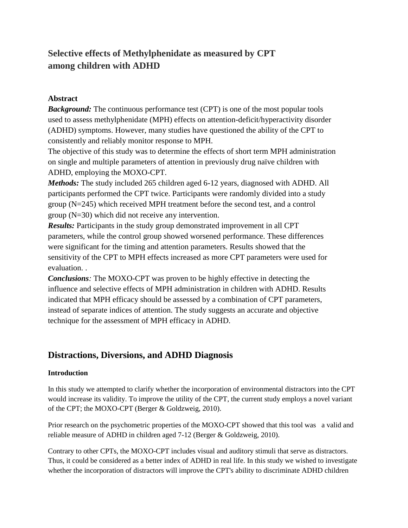# **Selective effects of Methylphenidate as measured by CPT among children with ADHD**

### **Abstract**

*Background:* The continuous performance test (CPT) is one of the most popular tools used to assess methylphenidate (MPH) effects on attention-deficit/hyperactivity disorder (ADHD) symptoms. However, many studies have questioned the ability of the CPT to consistently and reliably monitor response to MPH.

The objective of this study was to determine the effects of short term MPH administration on single and multiple parameters of attention in previously drug naïve children with ADHD, employing the MOXO-CPT.

*Methods:* The study included 265 children aged 6-12 years, diagnosed with ADHD. All participants performed the CPT twice. Participants were randomly divided into a study group (N=245) which received MPH treatment before the second test, and a control group (N=30) which did not receive any intervention.

*Results:* Participants in the study group demonstrated improvement in all CPT parameters, while the control group showed worsened performance. These differences were significant for the timing and attention parameters. Results showed that the sensitivity of the CPT to MPH effects increased as more CPT parameters were used for evaluation. .

*Conclusions:* The MOXO-CPT was proven to be highly effective in detecting the influence and selective effects of MPH administration in children with ADHD. Results indicated that MPH efficacy should be assessed by a combination of CPT parameters, instead of separate indices of attention. The study suggests an accurate and objective technique for the assessment of MPH efficacy in ADHD.

# **Distractions, Diversions, and ADHD Diagnosis**

### **Introduction**

In this study we attempted to clarify whether the incorporation of environmental distractors into the CPT would increase its validity. To improve the utility of the CPT, the current study employs a novel variant of the CPT; the MOXO-CPT (Berger & Goldzweig, 2010).

Prior research on the psychometric properties of the MOXO-CPT showed that this tool was a valid and reliable measure of ADHD in children aged 7-12 (Berger & Goldzweig, 2010).

Contrary to other CPTs, the MOXO-CPT includes visual and auditory stimuli that serve as distractors. Thus, it could be considered as a better index of ADHD in real life. In this study we wished to investigate whether the incorporation of distractors will improve the CPT's ability to discriminate ADHD children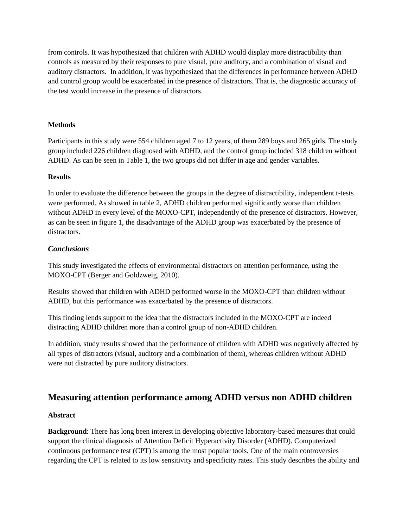from controls. It was hypothesized that children with ADHD would display more distractibility than controls as measured by their responses to pure visual, pure auditory, and a combination of visual and auditory distractors. In addition, it was hypothesized that the differences in performance between ADHD and control group would be exacerbated in the presence of distractors. That is, the diagnostic accuracy of the test would increase in the presence of distractors.

#### **Methods**

Participants in this study were 554 children aged 7 to 12 years, of them 289 boys and 265 girls. The study group included 226 children diagnosed with ADHD, and the control group included 318 children without ADHD. As can be seen in Table 1, the two groups did not differ in age and gender variables.

#### **Results**

In order to evaluate the difference between the groups in the degree of distractibility, independent t-tests were performed. As showed in table 2, ADHD children performed significantly worse than children without ADHD in every level of the MOXO-CPT, independently of the presence of distractors. However, as can be seen in figure 1, the disadvantage of the ADHD group was exacerbated by the presence of distractors.

#### *Conclusions*

This study investigated the effects of environmental distractors on attention performance, using the MOXO-CPT (Berger and Goldzweig, 2010).

Results showed that children with ADHD performed worse in the MOXO-CPT than children without ADHD, but this performance was exacerbated by the presence of distractors.

This finding lends support to the idea that the distractors included in the MOXO-CPT are indeed distracting ADHD children more than a control group of non-ADHD children.

In addition, study results showed that the performance of children with ADHD was negatively affected by all types of distractors (visual, auditory and a combination of them), whereas children without ADHD were not distracted by pure auditory distractors.

# **Measuring attention performance among ADHD versus non ADHD children**

#### **Abstract**

**Background**: There has long been interest in developing objective laboratory-based measures that could support the clinical diagnosis of Attention Deficit Hyperactivity Disorder (ADHD). Computerized continuous performance test (CPT) is among the most popular tools. One of the main controversies regarding the CPT is related to its low sensitivity and specificity rates. This study describes the ability and